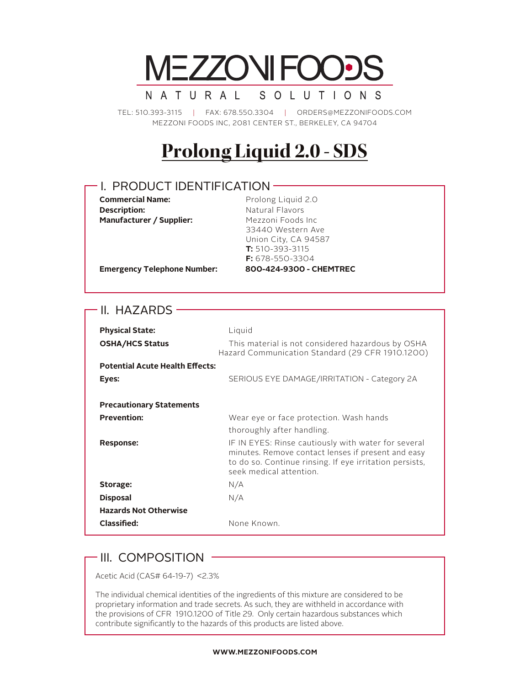

TEL: 510.393-3115 | FAX: 678.550.3304 | ORDERS@MEZZONIFOODS.COM MEZZONI FOODS INC, 2081 CENTER ST., BERKELEY, CA 94704

# **Prolong Liquid 2.0 - SDS**

### I. PRODUCT IDENTIFICATION

**Description:** Natural Flavors **Manufacturer / Supplier:** Mezzoni Foods Inc

**Commercial Name:** Prolong Liquid 2.0 33440 Western Ave Union City, CA 94587 **T:** 510-393-3115 **F:** 678-550-3304 **Emergency Telephone Number: 800-424-9300 - CHEMTREC**

### - II. HAZARDS -

I

| <b>Physical State:</b><br><b>OSHA/HCS Status</b> | Liquid<br>This material is not considered hazardous by OSHA<br>Hazard Communication Standard (29 CFR 1910.1200)                                                                                 |
|--------------------------------------------------|-------------------------------------------------------------------------------------------------------------------------------------------------------------------------------------------------|
| <b>Potential Acute Health Effects:</b>           |                                                                                                                                                                                                 |
| Eyes:                                            | SERIOUS EYE DAMAGE/IRRITATION - Category 2A                                                                                                                                                     |
| <b>Precautionary Statements</b>                  |                                                                                                                                                                                                 |
| <b>Prevention:</b>                               | Wear eye or face protection. Wash hands                                                                                                                                                         |
|                                                  | thoroughly after handling.                                                                                                                                                                      |
| Response:                                        | IF IN EYES: Rinse cautiously with water for several<br>minutes. Remove contact lenses if present and easy<br>to do so. Continue rinsing. If eye irritation persists,<br>seek medical attention. |
| Storage:                                         | N/A                                                                                                                                                                                             |
| <b>Disposal</b>                                  | N/A                                                                                                                                                                                             |
| <b>Hazards Not Otherwise</b>                     |                                                                                                                                                                                                 |
| Classified:                                      | None Known.                                                                                                                                                                                     |

### $\cdot$  III. COMPOSITION  $\cdot$

Acetic Acid (CAS# 64-19-7) <2.3%

The individual chemical identities of the ingredients of this mixture are considered to be proprietary information and trade secrets. As such, they are withheld in accordance with the provisions of CFR 1910.1200 of Title 29. Only certain hazardous substances which contribute significantly to the hazards of this products are listed above.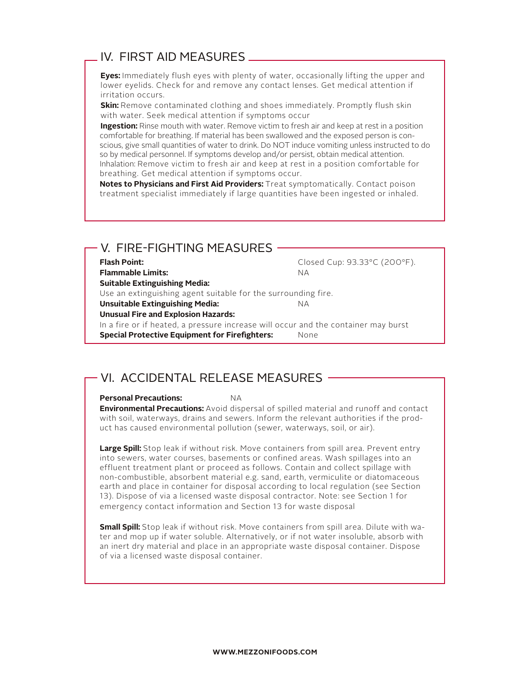### IV. FIRST AID MEASURES

**Eyes:** Immediately flush eyes with plenty of water, occasionally lifting the upper and lower eyelids. Check for and remove any contact lenses. Get medical attention if irritation occurs.

**Skin:** Remove contaminated clothing and shoes immediately. Promptly flush skin with water. Seek medical attention if symptoms occur

**Ingestion:** Rinse mouth with water. Remove victim to fresh air and keep at rest in a position comfortable for breathing. If material has been swallowed and the exposed person is conscious, give small quantities of water to drink. Do NOT induce vomiting unless instructed to do so by medical personnel. If symptoms develop and/or persist, obtain medical attention. Inhalation: Remove victim to fresh air and keep at rest in a position comfortable for breathing. Get medical attention if symptoms occur.

**Notes to Physicians and First Aid Providers:** Treat symptomatically. Contact poison treatment specialist immediately if large quantities have been ingested or inhaled.

### V. FIRE-FIGHTING MEASURES

Flash Point: The Closed Cup: 93.33°C (200°F).

**Flammable Limits:** NA **Suitable Extinguishing Media:** 

Use an extinguishing agent suitable for the surrounding fire.

**Unsuitable Extinguishing Media:** NA

**Unusual Fire and Explosion Hazards:** 

In a fire or if heated, a pressure increase will occur and the container may burst **Special Protective Equipment for Firefighters:** None

### VI. ACCIDENTAL RELEASE MEASURES

### **Personal Precautions:** NA

**Environmental Precautions:** Avoid dispersal of spilled material and runoff and contact with soil, waterways, drains and sewers. Inform the relevant authorities if the product has caused environmental pollution (sewer, waterways, soil, or air).

**Large Spill:** Stop leak if without risk. Move containers from spill area. Prevent entry into sewers, water courses, basements or confined areas. Wash spillages into an effluent treatment plant or proceed as follows. Contain and collect spillage with non-combustible, absorbent material e.g. sand, earth, vermiculite or diatomaceous earth and place in container for disposal according to local regulation (see Section 13). Dispose of via a licensed waste disposal contractor. Note: see Section 1 for emergency contact information and Section 13 for waste disposal

**Small Spill:** Stop leak if without risk. Move containers from spill area. Dilute with water and mop up if water soluble. Alternatively, or if not water insoluble, absorb with an inert dry material and place in an appropriate waste disposal container. Dispose of via a licensed waste disposal container.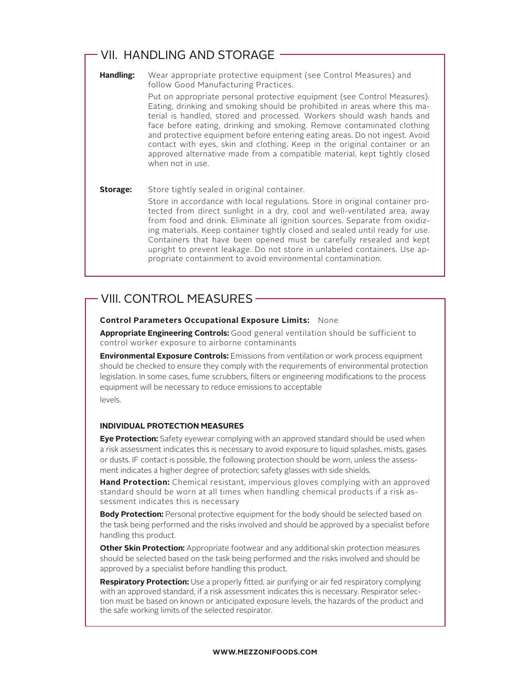### VII. HANDLING AND STORAGE

**Handling:** Wear appropriate protective equipment (see Control Measures) and follow Good Manufacturing Practices.

> Put on appropriate personal protective equipment (see Control Measures). Eating, drinking and smoking should be prohibited in areas where this material is handled, stored and processed. Workers should wash hands and face before eating, drinking and smoking. Remove contaminated clothing and protective equipment before entering eating areas. Do not ingest. Avoid contact with eyes, skin and clothing. Keep in the original container or an approved alternative made from a compatible material, kept tightly closed when not in use.

### **Storage:** Store tightly sealed in original container.

Store in accordance with local regulations. Store in original container protected from direct sunlight in a dry, cool and well-ventilated area, away from food and drink. Eliminate all ignition sources. Separate from oxidizing materials. Keep container tightly closed and sealed until ready for use. Containers that have been opened must be carefully resealed and kept upright to prevent leakage. Do not store in unlabeled containers. Use appropriate containment to avoid environmental contamination.

### VIII. CONTROL MEASURES

### **Control Parameters Occupational Exposure Limits:** None

**Appropriate Engineering Controls:** Good general ventilation should be sufficient to control worker exposure to airborne contaminants

**Environmental Exposure Controls:** Emissions from ventilation or work process equipment should be checked to ensure they comply with the requirements of environmental protection legislation. In some cases, fume scrubbers, filters or engineering modifications to the process equipment will be necessary to reduce emissions to acceptable levels.

### **INDIVIDUAL PROTECTION MEASURES**

**Eye Protection:** Safety eyewear complying with an approved standard should be used when a risk assessment indicates this is necessary to avoid exposure to liquid splashes, mists, gases or dusts. IF contact is possible, the following protection should be worn, unless the assessment indicates a higher degree of protection; safety glasses with side shields.

**Hand Protection:** Chemical resistant, impervious gloves complying with an approved standard should be worn at all times when handling chemical products if a risk assessment indicates this is necessary

**Body Protection:** Personal protective equipment for the body should be selected based on the task being performed and the risks involved and should be approved by a specialist before handling this product.

**Other Skin Protection:** Appropriate footwear and any additional skin protection measures should be selected based on the task being performed and the risks involved and should be approved by a specialist before handling this product.

**Respiratory Protection:** Use a properly fitted, air purifying or air fed respiratory complying with an approved standard, if a risk assessment indicates this is necessary. Respirator selection must be based on known or anticipated exposure levels, the hazards of the product and the safe working limits of the selected respirator.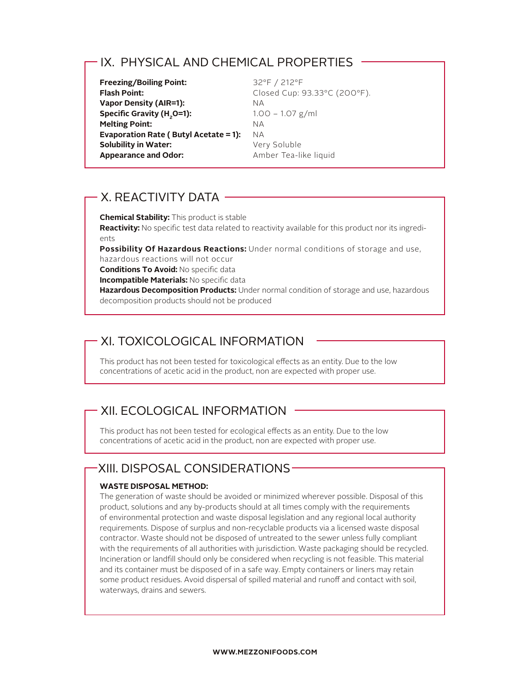### IX. PHYSICAL AND CHEMICAL PROPERTIES

**Freezing/Boiling Point:** 32°F / 212°F Flash Point: Closed Cup: 93.33°C (200°F). **Vapor Density (AIR=1):** NA **Specific Gravity (H<sub>2</sub>O=1):** 1.00 – 1.07 g/ml<br>**Melting Point:** NA **Melting Point: Evaporation Rate ( Butyl Acetate = 1):** NA **Solubility in Water:** Very Soluble **Appearance and Odor:** Amber Tea-like liquid

### X. REACTIVITY DATA

**Chemical Stability:** This product is stable **Reactivity:** No specific test data related to reactivity available for this product nor its ingredients

**Possibility Of Hazardous Reactions:** Under normal conditions of storage and use,

hazardous reactions will not occur

**Conditions To Avoid:** No specific data

**Incompatible Materials:** No specific data

**Hazardous Decomposition Products:** Under normal condition of storage and use, hazardous decomposition products should not be produced

## XI. TOXICOLOGICAL INFORMATION

This product has not been tested for toxicological effects as an entity. Due to the low concentrations of acetic acid in the product, non are expected with proper use.

## XII. ECOLOGICAL INFORMATION

This product has not been tested for ecological effects as an entity. Due to the low concentrations of acetic acid in the product, non are expected with proper use.

## XIII. DISPOSAL CONSIDERATIONS

### **WASTE DISPOSAL METHOD:**

The generation of waste should be avoided or minimized wherever possible. Disposal of this product, solutions and any by-products should at all times comply with the requirements of environmental protection and waste disposal legislation and any regional local authority requirements. Dispose of surplus and non-recyclable products via a licensed waste disposal contractor. Waste should not be disposed of untreated to the sewer unless fully compliant with the requirements of all authorities with jurisdiction. Waste packaging should be recycled. Incineration or landfill should only be considered when recycling is not feasible. This material and its container must be disposed of in a safe way. Empty containers or liners may retain some product residues. Avoid dispersal of spilled material and runoff and contact with soil, waterways, drains and sewers.